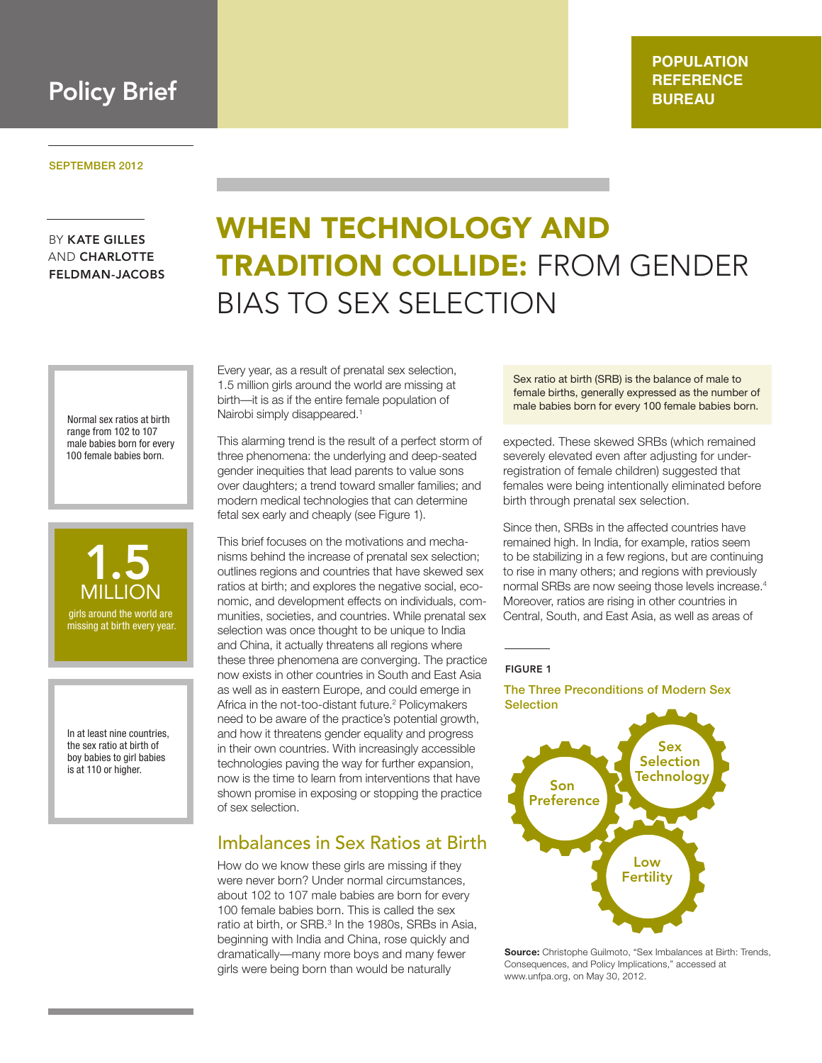

BY KATE GILLES AND CHARLOTTE FELDMAN-JACOBS

> Normal sex ratios at birth range from 102 to 107 male babies born for every 100 female babies born.



In at least nine countries, the sex ratio at birth of boy babies to girl babies is at 110 or higher.

# WHEN TECHNOLOGY AND TRADITION COLLIDE: FROM GENDER BIAS TO SEX SELECTION

Every year, as a result of prenatal sex selection, 1.5 million girls around the world are missing at birth—it is as if the entire female population of Nairobi simply disappeared.<sup>1</sup>

This alarming trend is the result of a perfect storm of three phenomena: the underlying and deep-seated gender inequities that lead parents to value sons over daughters; a trend toward smaller families; and modern medical technologies that can determine fetal sex early and cheaply (see Figure 1).

This brief focuses on the motivations and mechanisms behind the increase of prenatal sex selection; outlines regions and countries that have skewed sex ratios at birth; and explores the negative social, economic, and development effects on individuals, communities, societies, and countries. While prenatal sex selection was once thought to be unique to India and China, it actually threatens all regions where these three phenomena are converging. The practice now exists in other countries in South and East Asia as well as in eastern Europe, and could emerge in Africa in the not-too-distant future.<sup>2</sup> Policymakers need to be aware of the practice's potential growth, and how it threatens gender equality and progress in their own countries. With increasingly accessible technologies paving the way for further expansion, now is the time to learn from interventions that have shown promise in exposing or stopping the practice of sex selection.

### Imbalances in Sex Ratios at Birth

How do we know these girls are missing if they were never born? Under normal circumstances, about 102 to 107 male babies are born for every 100 female babies born. This is called the sex ratio at birth, or SRB.<sup>3</sup> In the 1980s, SRBs in Asia, beginning with India and China, rose quickly and dramatically—many more boys and many fewer girls were being born than would be naturally

Sex ratio at birth (SRB) is the balance of male to female births, generally expressed as the number of male babies born for every 100 female babies born.

expected. These skewed SRBs (which remained severely elevated even after adjusting for underregistration of female children) suggested that females were being intentionally eliminated before birth through prenatal sex selection.

Since then, SRBs in the affected countries have remained high. In India, for example, ratios seem to be stabilizing in a few regions, but are continuing to rise in many others; and regions with previously normal SRBs are now seeing those levels increase.<sup>4</sup> Moreover, ratios are rising in other countries in Central, South, and East Asia, as well as areas of

#### FIGURE 1

The Three Preconditions of Modern Sex **Selection** 



**Source:** Christophe Guilmoto, "Sex Imbalances at Birth: Trends, Consequences, and Policy Implications," accessed at www.unfpa.org, on May 30, 2012.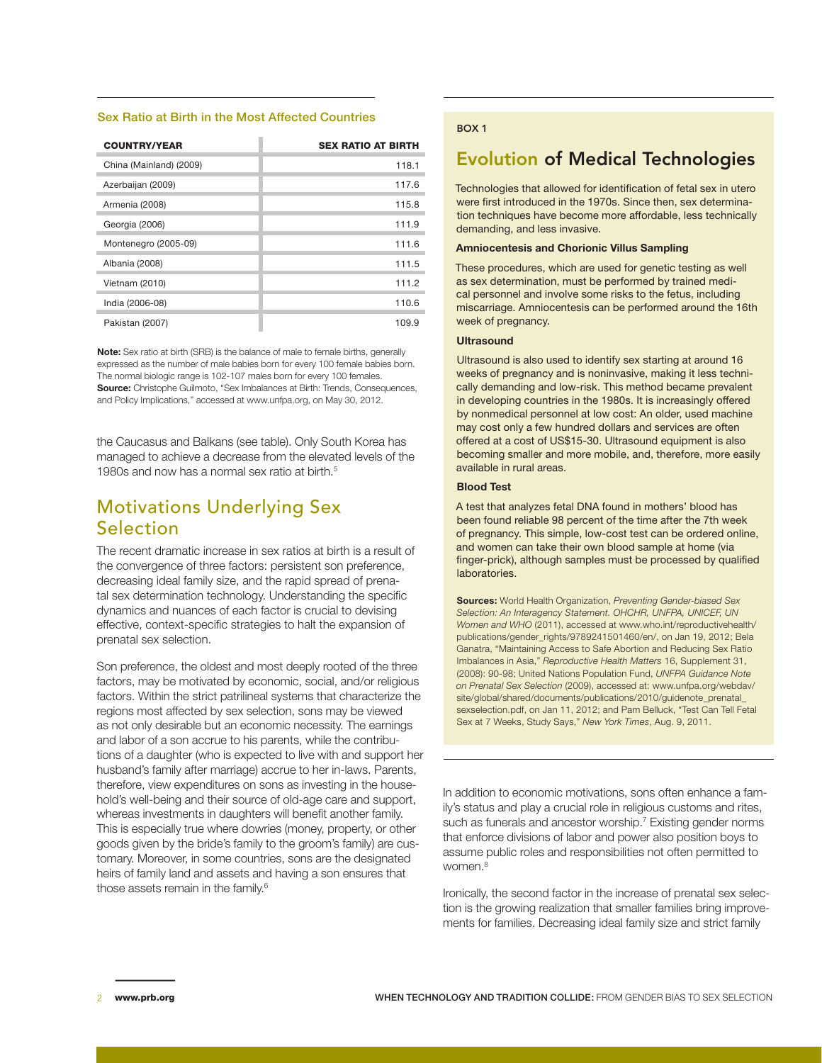#### Sex Ratio at Birth in the Most Affected Countries

| <b>COUNTRY/YEAR</b>     | <b>SEX RATIO AT BIRTH</b> |
|-------------------------|---------------------------|
| China (Mainland) (2009) | 118.1                     |
| Azerbaijan (2009)       | 117.6                     |
| Armenia (2008)          | 115.8                     |
| Georgia (2006)          | 111.9                     |
| Montenegro (2005-09)    | 111.6                     |
| Albania (2008)          | 111.5                     |
| Vietnam (2010)          | 111.2                     |
| India (2006-08)         | 110.6                     |
| Pakistan (2007)         | 109.9                     |

**Note:** Sex ratio at birth (SRB) is the balance of male to female births, generally expressed as the number of male babies born for every 100 female babies born. The normal biologic range is 102-107 males born for every 100 females. **Source:** Christophe Guilmoto, "Sex Imbalances at Birth: Trends, Consequences, and Policy Implications," accessed at www.unfpa.org, on May 30, 2012.

the Caucasus and Balkans (see table). Only South Korea has managed to achieve a decrease from the elevated levels of the 1980s and now has a normal sex ratio at birth.<sup>5</sup>

### Motivations Underlying Sex Selection

The recent dramatic increase in sex ratios at birth is a result of the convergence of three factors: persistent son preference, decreasing ideal family size, and the rapid spread of prenatal sex determination technology. Understanding the specific dynamics and nuances of each factor is crucial to devising effective, context-specific strategies to halt the expansion of prenatal sex selection.

Son preference, the oldest and most deeply rooted of the three factors, may be motivated by economic, social, and/or religious factors. Within the strict patrilineal systems that characterize the regions most affected by sex selection, sons may be viewed as not only desirable but an economic necessity. The earnings and labor of a son accrue to his parents, while the contributions of a daughter (who is expected to live with and support her husband's family after marriage) accrue to her in-laws. Parents, therefore, view expenditures on sons as investing in the household's well-being and their source of old-age care and support, whereas investments in daughters will benefit another family. This is especially true where dowries (money, property, or other goods given by the bride's family to the groom's family) are customary. Moreover, in some countries, sons are the designated heirs of family land and assets and having a son ensures that those assets remain in the family.6

#### BOX 1

### Evolution of Medical Technologies

Technologies that allowed for identification of fetal sex in utero were first introduced in the 1970s. Since then, sex determination techniques have become more affordable, less technically demanding, and less invasive.

#### **Amniocentesis and Chorionic Villus Sampling**

These procedures, which are used for genetic testing as well as sex determination, must be performed by trained medical personnel and involve some risks to the fetus, including miscarriage. Amniocentesis can be performed around the 16th week of pregnancy.

#### **Ultrasound**

Ultrasound is also used to identify sex starting at around 16 weeks of pregnancy and is noninvasive, making it less technically demanding and low-risk. This method became prevalent in developing countries in the 1980s. It is increasingly offered by nonmedical personnel at low cost: An older, used machine may cost only a few hundred dollars and services are often offered at a cost of US\$15-30. Ultrasound equipment is also becoming smaller and more mobile, and, therefore, more easily available in rural areas.

#### **Blood Test**

A test that analyzes fetal DNA found in mothers' blood has been found reliable 98 percent of the time after the 7th week of pregnancy. This simple, low-cost test can be ordered online, and women can take their own blood sample at home (via finger-prick), although samples must be processed by qualified laboratories.

**Sources:** World Health Organization, *Preventing Gender-biased Sex Selection: An Interagency Statement. OHCHR, UNFPA, UNICEF, UN Women and WHO* (2011), accessed at www.who.int/reproductivehealth/ publications/gender\_rights/9789241501460/en/, on Jan 19, 2012; Bela Ganatra, "Maintaining Access to Safe Abortion and Reducing Sex Ratio Imbalances in Asia," *Reproductive Health Matters* 16, Supplement 31, (2008): 90-98; United Nations Population Fund, *UNFPA Guidance Note on Prenatal Sex Selection* (2009), accessed at: www.unfpa.org/webdav/ site/global/shared/documents/publications/2010/guidenote\_prenatal\_ sexselection.pdf, on Jan 11, 2012; and Pam Belluck, "Test Can Tell Fetal Sex at 7 Weeks, Study Says," *New York Times*, Aug. 9, 2011.

In addition to economic motivations, sons often enhance a family's status and play a crucial role in religious customs and rites, such as funerals and ancestor worship.<sup>7</sup> Existing gender norms that enforce divisions of labor and power also position boys to assume public roles and responsibilities not often permitted to women.<sup>8</sup>

Ironically, the second factor in the increase of prenatal sex selection is the growing realization that smaller families bring improvements for families. Decreasing ideal family size and strict family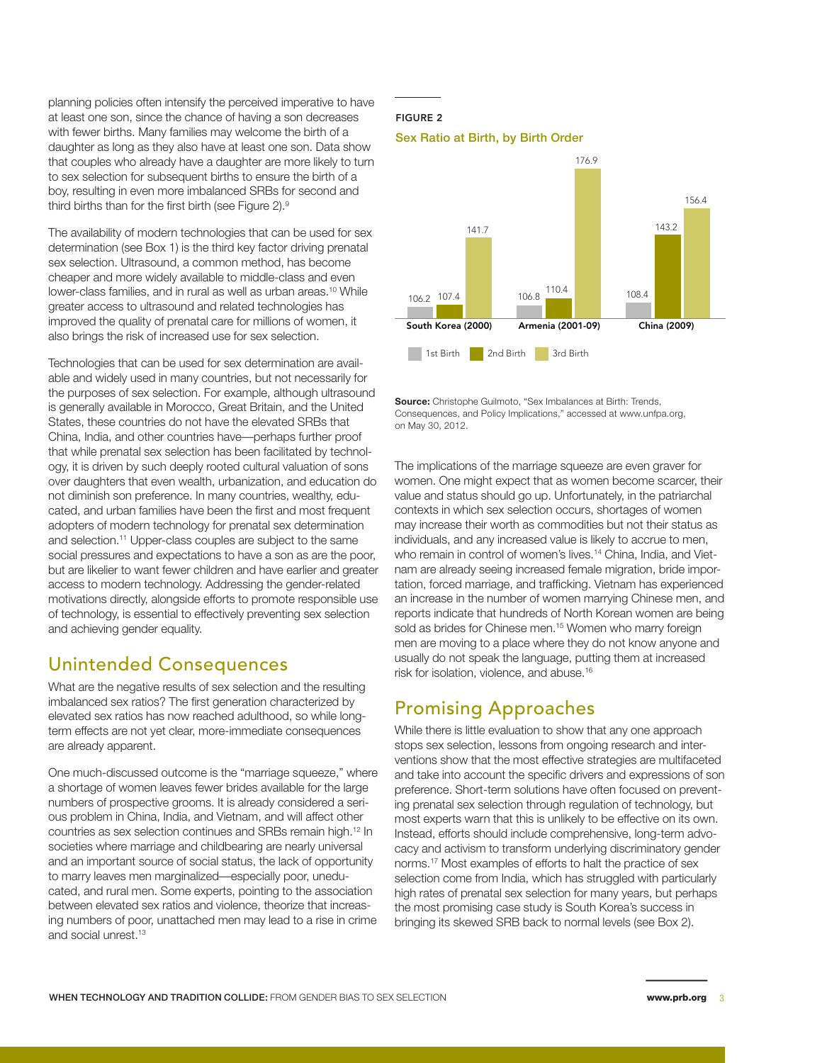planning policies often intensify the perceived imperative to have at least one son, since the chance of having a son decreases with fewer births. Many families may welcome the birth of a daughter as long as they also have at least one son. Data show that couples who already have a daughter are more likely to turn to sex selection for subsequent births to ensure the birth of a boy, resulting in even more imbalanced SRBs for second and third births than for the first birth (see Figure 2).<sup>9</sup>

The availability of modern technologies that can be used for sex determination (see Box 1) is the third key factor driving prenatal sex selection. Ultrasound, a common method, has become cheaper and more widely available to middle-class and even lower-class families, and in rural as well as urban areas.10 While greater access to ultrasound and related technologies has improved the quality of prenatal care for millions of women, it also brings the risk of increased use for sex selection.

Technologies that can be used for sex determination are available and widely used in many countries, but not necessarily for the purposes of sex selection. For example, although ultrasound is generally available in Morocco, Great Britain, and the United States, these countries do not have the elevated SRBs that China, India, and other countries have—perhaps further proof that while prenatal sex selection has been facilitated by technology, it is driven by such deeply rooted cultural valuation of sons over daughters that even wealth, urbanization, and education do not diminish son preference. In many countries, wealthy, educated, and urban families have been the first and most frequent adopters of modern technology for prenatal sex determination and selection.<sup>11</sup> Upper-class couples are subject to the same social pressures and expectations to have a son as are the poor, but are likelier to want fewer children and have earlier and greater access to modern technology. Addressing the gender-related motivations directly, alongside efforts to promote responsible use of technology, is essential to effectively preventing sex selection and achieving gender equality.

### Unintended Consequences

What are the negative results of sex selection and the resulting imbalanced sex ratios? The first generation characterized by elevated sex ratios has now reached adulthood, so while longterm effects are not yet clear, more-immediate consequences are already apparent.

One much-discussed outcome is the "marriage squeeze," where a shortage of women leaves fewer brides available for the large numbers of prospective grooms. It is already considered a serious problem in China, India, and Vietnam, and will affect other countries as sex selection continues and SRBs remain high.12 In societies where marriage and childbearing are nearly universal and an important source of social status, the lack of opportunity to marry leaves men marginalized—especially poor, uneducated, and rural men. Some experts, pointing to the association between elevated sex ratios and violence, theorize that increasing numbers of poor, unattached men may lead to a rise in crime and social unrest.13

#### FIGURE 2





**Source:** Christophe Guilmoto, "Sex Imbalances at Birth: Trends, Consequences, and Policy Implications," accessed at www.unfpa.org, on May 30, 2012.

The implications of the marriage squeeze are even graver for women. One might expect that as women become scarcer, their value and status should go up. Unfortunately, in the patriarchal contexts in which sex selection occurs, shortages of women may increase their worth as commodities but not their status as individuals, and any increased value is likely to accrue to men, who remain in control of women's lives.<sup>14</sup> China, India, and Vietnam are already seeing increased female migration, bride importation, forced marriage, and trafficking. Vietnam has experienced an increase in the number of women marrying Chinese men, and reports indicate that hundreds of North Korean women are being sold as brides for Chinese men.<sup>15</sup> Women who marry foreign men are moving to a place where they do not know anyone and usually do not speak the language, putting them at increased risk for isolation, violence, and abuse.16

### Promising Approaches

While there is little evaluation to show that any one approach stops sex selection, lessons from ongoing research and interventions show that the most effective strategies are multifaceted and take into account the specific drivers and expressions of son preference. Short-term solutions have often focused on preventing prenatal sex selection through regulation of technology, but most experts warn that this is unlikely to be effective on its own. Instead, efforts should include comprehensive, long-term advocacy and activism to transform underlying discriminatory gender norms.17 Most examples of efforts to halt the practice of sex selection come from India, which has struggled with particularly high rates of prenatal sex selection for many years, but perhaps the most promising case study is South Korea's success in bringing its skewed SRB back to normal levels (see Box 2).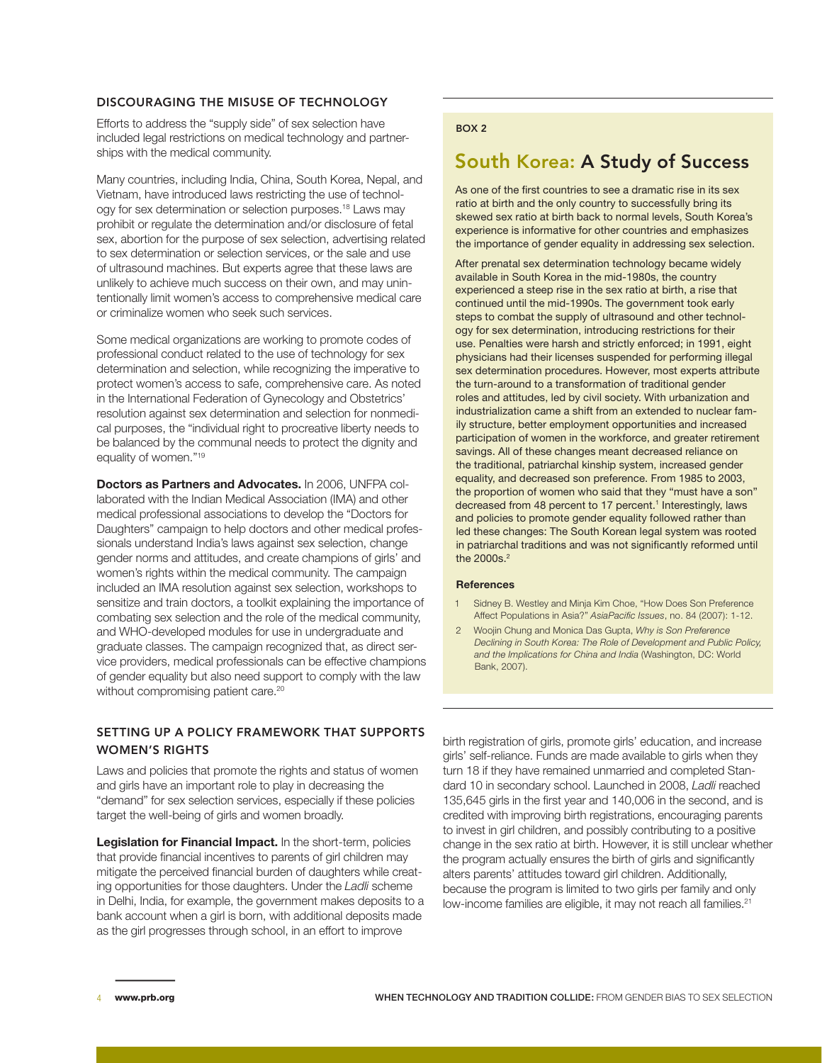#### DISCOURAGING THE MISUSE OF TECHNOLOGY

Efforts to address the "supply side" of sex selection have included legal restrictions on medical technology and partnerships with the medical community.

Many countries, including India, China, South Korea, Nepal, and Vietnam, have introduced laws restricting the use of technology for sex determination or selection purposes.18 Laws may prohibit or regulate the determination and/or disclosure of fetal sex, abortion for the purpose of sex selection, advertising related to sex determination or selection services, or the sale and use of ultrasound machines. But experts agree that these laws are unlikely to achieve much success on their own, and may unintentionally limit women's access to comprehensive medical care or criminalize women who seek such services.

Some medical organizations are working to promote codes of professional conduct related to the use of technology for sex determination and selection, while recognizing the imperative to protect women's access to safe, comprehensive care. As noted in the International Federation of Gynecology and Obstetrics' resolution against sex determination and selection for nonmedical purposes, the "individual right to procreative liberty needs to be balanced by the communal needs to protect the dignity and equality of women."19

**Doctors as Partners and Advocates.** In 2006, UNFPA collaborated with the Indian Medical Association (IMA) and other medical professional associations to develop the "Doctors for Daughters" campaign to help doctors and other medical professionals understand India's laws against sex selection, change gender norms and attitudes, and create champions of girls' and women's rights within the medical community. The campaign included an IMA resolution against sex selection, workshops to sensitize and train doctors, a toolkit explaining the importance of combating sex selection and the role of the medical community, and WHO-developed modules for use in undergraduate and graduate classes. The campaign recognized that, as direct service providers, medical professionals can be effective champions of gender equality but also need support to comply with the law without compromising patient care.<sup>20</sup>

#### SETTING UP A POLICY FRAMEWORK THAT SUPPORTS WOMEN'S RIGHTS

Laws and policies that promote the rights and status of women and girls have an important role to play in decreasing the "demand" for sex selection services, especially if these policies target the well-being of girls and women broadly.

**Legislation for Financial Impact.** In the short-term, policies that provide financial incentives to parents of girl children may mitigate the perceived financial burden of daughters while creating opportunities for those daughters. Under the *Ladli* scheme in Delhi, India, for example, the government makes deposits to a bank account when a girl is born, with additional deposits made as the girl progresses through school, in an effort to improve

#### BOX 2

### South Korea: A Study of Success

As one of the first countries to see a dramatic rise in its sex ratio at birth and the only country to successfully bring its skewed sex ratio at birth back to normal levels, South Korea's experience is informative for other countries and emphasizes the importance of gender equality in addressing sex selection.

After prenatal sex determination technology became widely available in South Korea in the mid-1980s, the country experienced a steep rise in the sex ratio at birth, a rise that continued until the mid-1990s. The government took early steps to combat the supply of ultrasound and other technology for sex determination, introducing restrictions for their use. Penalties were harsh and strictly enforced; in 1991, eight physicians had their licenses suspended for performing illegal sex determination procedures. However, most experts attribute the turn-around to a transformation of traditional gender roles and attitudes, led by civil society. With urbanization and industrialization came a shift from an extended to nuclear family structure, better employment opportunities and increased participation of women in the workforce, and greater retirement savings. All of these changes meant decreased reliance on the traditional, patriarchal kinship system, increased gender equality, and decreased son preference. From 1985 to 2003, the proportion of women who said that they "must have a son" decreased from 48 percent to 17 percent.<sup>1</sup> Interestingly, laws and policies to promote gender equality followed rather than led these changes: The South Korean legal system was rooted in patriarchal traditions and was not significantly reformed until the 2000s.<sup>2</sup>

#### **References**

- Sidney B. Westley and Minja Kim Choe, "How Does Son Preference Affect Populations in Asia?" *AsiaPacific Issues*, no. 84 (2007): 1-12.
- 2 Woojin Chung and Monica Das Gupta, *Why is Son Preference Declining in South Korea: The Role of Development and Public Policy, and the Implications for China and India* (Washington, DC: World Bank, 2007).

birth registration of girls, promote girls' education, and increase girls' self-reliance. Funds are made available to girls when they turn 18 if they have remained unmarried and completed Standard 10 in secondary school. Launched in 2008, *Ladli* reached 135,645 girls in the first year and 140,006 in the second, and is credited with improving birth registrations, encouraging parents to invest in girl children, and possibly contributing to a positive change in the sex ratio at birth. However, it is still unclear whether the program actually ensures the birth of girls and significantly alters parents' attitudes toward girl children. Additionally, because the program is limited to two girls per family and only low-income families are eligible, it may not reach all families.<sup>21</sup>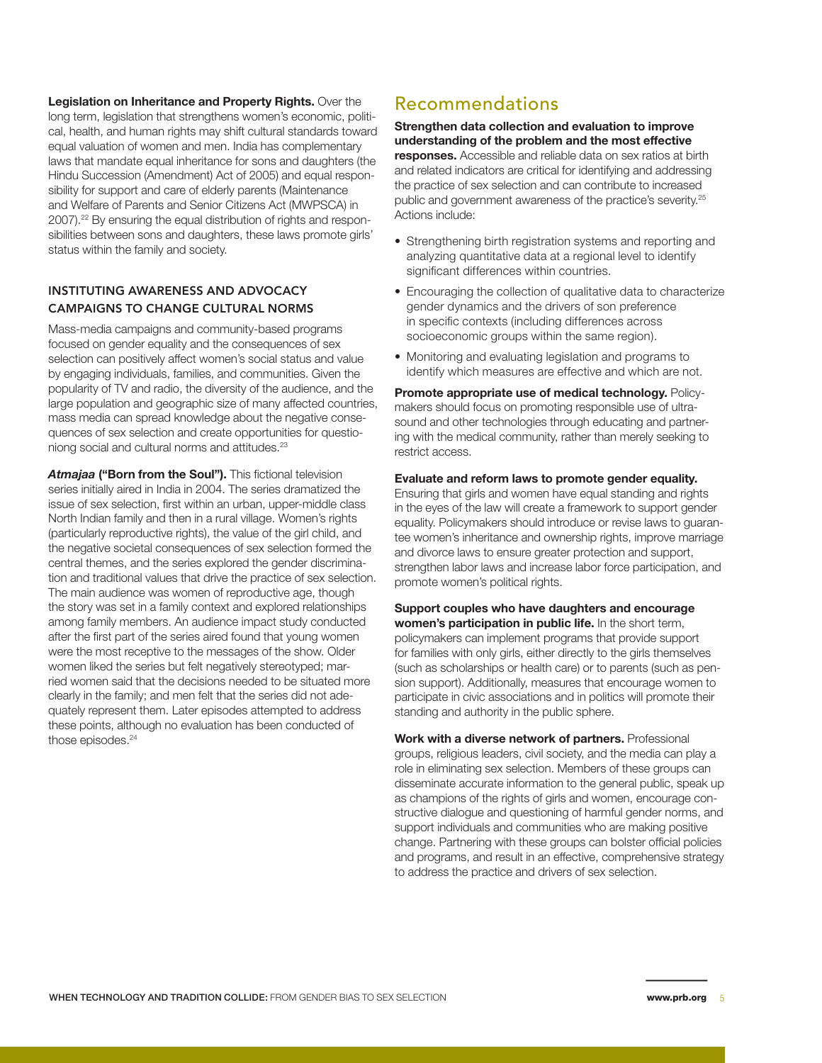**Legislation on Inheritance and Property Rights.** Over the long term, legislation that strengthens women's economic, political, health, and human rights may shift cultural standards toward equal valuation of women and men. India has complementary laws that mandate equal inheritance for sons and daughters (the Hindu Succession (Amendment) Act of 2005) and equal responsibility for support and care of elderly parents (Maintenance and Welfare of Parents and Senior Citizens Act (MWPSCA) in 2007).<sup>22</sup> By ensuring the equal distribution of rights and responsibilities between sons and daughters, these laws promote girls' status within the family and society.

#### INSTITUTING AWARENESS AND ADVOCACY CAMPAIGNS TO CHANGE CULTURAL NORMS

Mass-media campaigns and community-based programs focused on gender equality and the consequences of sex selection can positively affect women's social status and value by engaging individuals, families, and communities. Given the popularity of TV and radio, the diversity of the audience, and the large population and geographic size of many affected countries, mass media can spread knowledge about the negative consequences of sex selection and create opportunities for questioniong social and cultural norms and attitudes.23

*Atmajaa* **("Born from the Soul").** This fictional television series initially aired in India in 2004. The series dramatized the issue of sex selection, first within an urban, upper-middle class North Indian family and then in a rural village. Women's rights (particularly reproductive rights), the value of the girl child, and the negative societal consequences of sex selection formed the central themes, and the series explored the gender discrimination and traditional values that drive the practice of sex selection. The main audience was women of reproductive age, though the story was set in a family context and explored relationships among family members. An audience impact study conducted after the first part of the series aired found that young women were the most receptive to the messages of the show. Older women liked the series but felt negatively stereotyped; married women said that the decisions needed to be situated more clearly in the family; and men felt that the series did not adequately represent them. Later episodes attempted to address these points, although no evaluation has been conducted of those episodes.<sup>24</sup>

### Recommendations

#### **Strengthen data collection and evaluation to improve understanding of the problem and the most effective**

**responses.** Accessible and reliable data on sex ratios at birth and related indicators are critical for identifying and addressing the practice of sex selection and can contribute to increased public and government awareness of the practice's severity.<sup>25</sup> Actions include:

- Strengthening birth registration systems and reporting and analyzing quantitative data at a regional level to identify significant differences within countries.
- Encouraging the collection of qualitative data to characterize gender dynamics and the drivers of son preference in specific contexts (including differences across socioeconomic groups within the same region).
- Monitoring and evaluating legislation and programs to identify which measures are effective and which are not.

**Promote appropriate use of medical technology.** Policymakers should focus on promoting responsible use of ultrasound and other technologies through educating and partnering with the medical community, rather than merely seeking to restrict access.

#### **Evaluate and reform laws to promote gender equality.**

Ensuring that girls and women have equal standing and rights in the eyes of the law will create a framework to support gender equality. Policymakers should introduce or revise laws to guarantee women's inheritance and ownership rights, improve marriage and divorce laws to ensure greater protection and support, strengthen labor laws and increase labor force participation, and promote women's political rights.

**Support couples who have daughters and encourage women's participation in public life.** In the short term, policymakers can implement programs that provide support for families with only girls, either directly to the girls themselves (such as scholarships or health care) or to parents (such as pension support). Additionally, measures that encourage women to participate in civic associations and in politics will promote their standing and authority in the public sphere.

**Work with a diverse network of partners.** Professional groups, religious leaders, civil society, and the media can play a role in eliminating sex selection. Members of these groups can disseminate accurate information to the general public, speak up as champions of the rights of girls and women, encourage constructive dialogue and questioning of harmful gender norms, and support individuals and communities who are making positive change. Partnering with these groups can bolster official policies and programs, and result in an effective, comprehensive strategy to address the practice and drivers of sex selection.